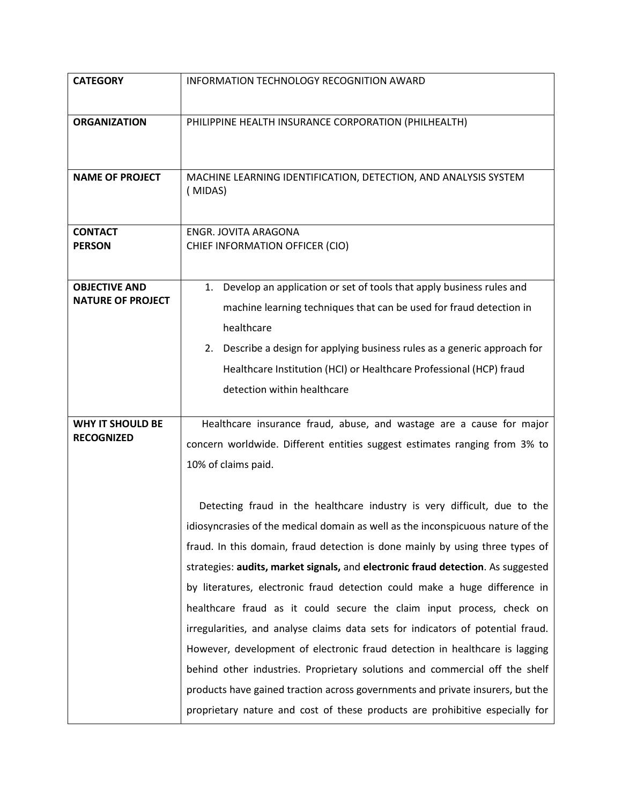| <b>CATEGORY</b>                                  | INFORMATION TECHNOLOGY RECOGNITION AWARD                                                                                                                                                                                                                                                                                                                                                                                                                                                                                                                                                                                                                                                                                                                                                                                                                                                                              |
|--------------------------------------------------|-----------------------------------------------------------------------------------------------------------------------------------------------------------------------------------------------------------------------------------------------------------------------------------------------------------------------------------------------------------------------------------------------------------------------------------------------------------------------------------------------------------------------------------------------------------------------------------------------------------------------------------------------------------------------------------------------------------------------------------------------------------------------------------------------------------------------------------------------------------------------------------------------------------------------|
| <b>ORGANIZATION</b>                              | PHILIPPINE HEALTH INSURANCE CORPORATION (PHILHEALTH)                                                                                                                                                                                                                                                                                                                                                                                                                                                                                                                                                                                                                                                                                                                                                                                                                                                                  |
| <b>NAME OF PROJECT</b>                           | MACHINE LEARNING IDENTIFICATION, DETECTION, AND ANALYSIS SYSTEM<br>(MIDAS)                                                                                                                                                                                                                                                                                                                                                                                                                                                                                                                                                                                                                                                                                                                                                                                                                                            |
| <b>CONTACT</b><br><b>PERSON</b>                  | ENGR. JOVITA ARAGONA<br>CHIEF INFORMATION OFFICER (CIO)                                                                                                                                                                                                                                                                                                                                                                                                                                                                                                                                                                                                                                                                                                                                                                                                                                                               |
| <b>OBJECTIVE AND</b><br><b>NATURE OF PROJECT</b> | Develop an application or set of tools that apply business rules and<br>1.<br>machine learning techniques that can be used for fraud detection in<br>healthcare<br>2. Describe a design for applying business rules as a generic approach for<br>Healthcare Institution (HCI) or Healthcare Professional (HCP) fraud<br>detection within healthcare                                                                                                                                                                                                                                                                                                                                                                                                                                                                                                                                                                   |
| <b>WHY IT SHOULD BE</b><br><b>RECOGNIZED</b>     | Healthcare insurance fraud, abuse, and wastage are a cause for major<br>concern worldwide. Different entities suggest estimates ranging from 3% to<br>10% of claims paid.<br>Detecting fraud in the healthcare industry is very difficult, due to the<br>idiosyncrasies of the medical domain as well as the inconspicuous nature of the<br>fraud. In this domain, fraud detection is done mainly by using three types of<br>strategies: audits, market signals, and electronic fraud detection. As suggested<br>by literatures, electronic fraud detection could make a huge difference in<br>healthcare fraud as it could secure the claim input process, check on<br>irregularities, and analyse claims data sets for indicators of potential fraud.<br>However, development of electronic fraud detection in healthcare is lagging<br>behind other industries. Proprietary solutions and commercial off the shelf |
|                                                  | products have gained traction across governments and private insurers, but the<br>proprietary nature and cost of these products are prohibitive especially for                                                                                                                                                                                                                                                                                                                                                                                                                                                                                                                                                                                                                                                                                                                                                        |